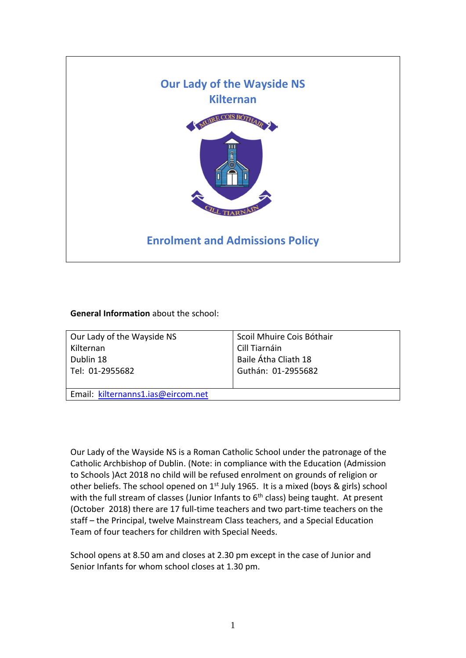

## **General Information** about the school:

| Our Lady of the Wayside NS         | Scoil Mhuire Cois Bóthair |
|------------------------------------|---------------------------|
| Kilternan                          | Cill Tiarnáin             |
| Dublin 18                          | Baile Átha Cliath 18      |
| Tel: 01-2955682                    | Guthán: 01-2955682        |
| Email: kilternanns1.ias@eircom.net |                           |

Our Lady of the Wayside NS is a Roman Catholic School under the patronage of the Catholic Archbishop of Dublin. (Note: in compliance with the Education (Admission to Schools )Act 2018 no child will be refused enrolment on grounds of religion or other beliefs. The school opened on 1<sup>st</sup> July 1965. It is a mixed (boys & girls) school with the full stream of classes (Junior Infants to  $6<sup>th</sup>$  class) being taught. At present (October 2018) there are 17 full-time teachers and two part-time teachers on the staff – the Principal, twelve Mainstream Class teachers, and a Special Education Team of four teachers for children with Special Needs.

School opens at 8.50 am and closes at 2.30 pm except in the case of Junior and Senior Infants for whom school closes at 1.30 pm.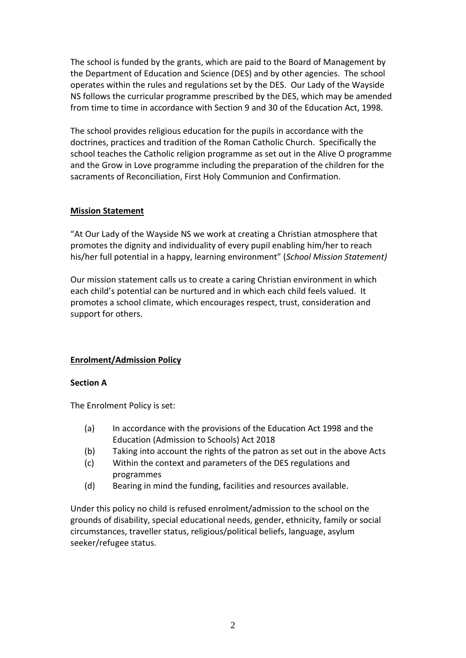The school is funded by the grants, which are paid to the Board of Management by the Department of Education and Science (DES) and by other agencies. The school operates within the rules and regulations set by the DES. Our Lady of the Wayside NS follows the curricular programme prescribed by the DES, which may be amended from time to time in accordance with Section 9 and 30 of the Education Act, 1998.

The school provides religious education for the pupils in accordance with the doctrines, practices and tradition of the Roman Catholic Church. Specifically the school teaches the Catholic religion programme as set out in the Alive O programme and the Grow in Love programme including the preparation of the children for the sacraments of Reconciliation, First Holy Communion and Confirmation.

## **Mission Statement**

"At Our Lady of the Wayside NS we work at creating a Christian atmosphere that promotes the dignity and individuality of every pupil enabling him/her to reach his/her full potential in a happy, learning environment" (*School Mission Statement)*

Our mission statement calls us to create a caring Christian environment in which each child's potential can be nurtured and in which each child feels valued. It promotes a school climate, which encourages respect, trust, consideration and support for others.

# **Enrolment/Admission Policy**

# **Section A**

The Enrolment Policy is set:

- (a) In accordance with the provisions of the Education Act 1998 and the Education (Admission to Schools) Act 2018
- (b) Taking into account the rights of the patron as set out in the above Acts
- (c) Within the context and parameters of the DES regulations and programmes
- (d) Bearing in mind the funding, facilities and resources available.

Under this policy no child is refused enrolment/admission to the school on the grounds of disability, special educational needs, gender, ethnicity, family or social circumstances, traveller status, religious/political beliefs, language, asylum seeker/refugee status.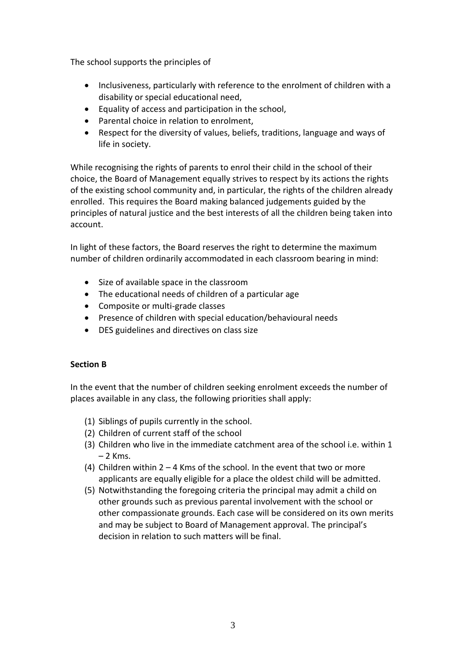The school supports the principles of

- Inclusiveness, particularly with reference to the enrolment of children with a disability or special educational need,
- Equality of access and participation in the school,
- Parental choice in relation to enrolment.
- Respect for the diversity of values, beliefs, traditions, language and ways of life in society.

While recognising the rights of parents to enrol their child in the school of their choice, the Board of Management equally strives to respect by its actions the rights of the existing school community and, in particular, the rights of the children already enrolled. This requires the Board making balanced judgements guided by the principles of natural justice and the best interests of all the children being taken into account.

In light of these factors, the Board reserves the right to determine the maximum number of children ordinarily accommodated in each classroom bearing in mind:

- Size of available space in the classroom
- The educational needs of children of a particular age
- Composite or multi-grade classes
- Presence of children with special education/behavioural needs
- DES guidelines and directives on class size

# **Section B**

In the event that the number of children seeking enrolment exceeds the number of places available in any class, the following priorities shall apply:

- (1) Siblings of pupils currently in the school.
- (2) Children of current staff of the school
- (3) Children who live in the immediate catchment area of the school i.e. within 1  $-2$  Kms.
- (4) Children within  $2 4$  Kms of the school. In the event that two or more applicants are equally eligible for a place the oldest child will be admitted.
- (5) Notwithstanding the foregoing criteria the principal may admit a child on other grounds such as previous parental involvement with the school or other compassionate grounds. Each case will be considered on its own merits and may be subject to Board of Management approval. The principal's decision in relation to such matters will be final.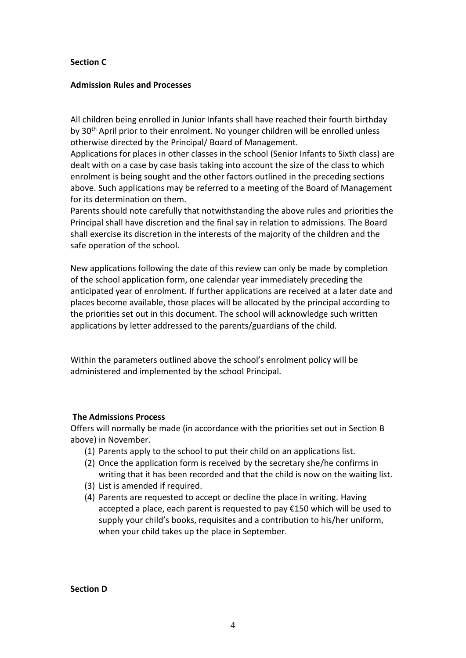## **Section C**

#### **Admission Rules and Processes**

All children being enrolled in Junior Infants shall have reached their fourth birthday by 30th April prior to their enrolment. No younger children will be enrolled unless otherwise directed by the Principal/ Board of Management.

Applications for places in other classes in the school (Senior Infants to Sixth class) are dealt with on a case by case basis taking into account the size of the class to which enrolment is being sought and the other factors outlined in the preceding sections above. Such applications may be referred to a meeting of the Board of Management for its determination on them.

Parents should note carefully that notwithstanding the above rules and priorities the Principal shall have discretion and the final say in relation to admissions. The Board shall exercise its discretion in the interests of the majority of the children and the safe operation of the school.

New applications following the date of this review can only be made by completion of the school application form, one calendar year immediately preceding the anticipated year of enrolment. If further applications are received at a later date and places become available, those places will be allocated by the principal according to the priorities set out in this document. The school will acknowledge such written applications by letter addressed to the parents/guardians of the child.

Within the parameters outlined above the school's enrolment policy will be administered and implemented by the school Principal.

## **The Admissions Process**

Offers will normally be made (in accordance with the priorities set out in Section B above) in November.

- (1) Parents apply to the school to put their child on an applications list.
- (2) Once the application form is received by the secretary she/he confirms in writing that it has been recorded and that the child is now on the waiting list.
- (3) List is amended if required.
- (4) Parents are requested to accept or decline the place in writing. Having accepted a place, each parent is requested to pay €150 which will be used to supply your child's books, requisites and a contribution to his/her uniform, when your child takes up the place in September.

**Section D**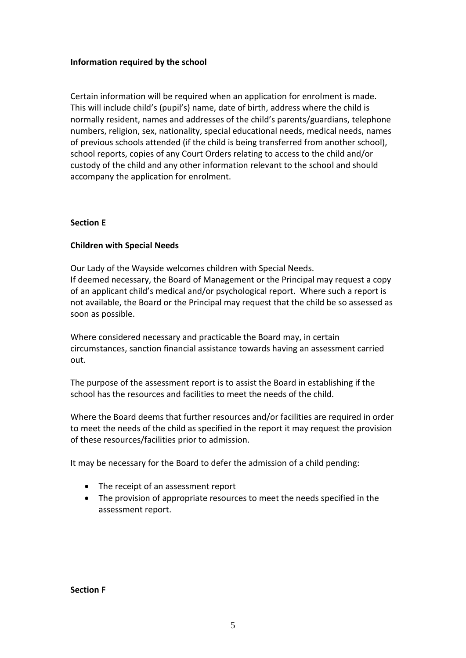## **Information required by the school**

Certain information will be required when an application for enrolment is made. This will include child's (pupil's) name, date of birth, address where the child is normally resident, names and addresses of the child's parents/guardians, telephone numbers, religion, sex, nationality, special educational needs, medical needs, names of previous schools attended (if the child is being transferred from another school), school reports, copies of any Court Orders relating to access to the child and/or custody of the child and any other information relevant to the school and should accompany the application for enrolment.

## **Section E**

## **Children with Special Needs**

Our Lady of the Wayside welcomes children with Special Needs. If deemed necessary, the Board of Management or the Principal may request a copy of an applicant child's medical and/or psychological report. Where such a report is not available, the Board or the Principal may request that the child be so assessed as soon as possible.

Where considered necessary and practicable the Board may, in certain circumstances, sanction financial assistance towards having an assessment carried out.

The purpose of the assessment report is to assist the Board in establishing if the school has the resources and facilities to meet the needs of the child.

Where the Board deems that further resources and/or facilities are required in order to meet the needs of the child as specified in the report it may request the provision of these resources/facilities prior to admission.

It may be necessary for the Board to defer the admission of a child pending:

- The receipt of an assessment report
- The provision of appropriate resources to meet the needs specified in the assessment report.